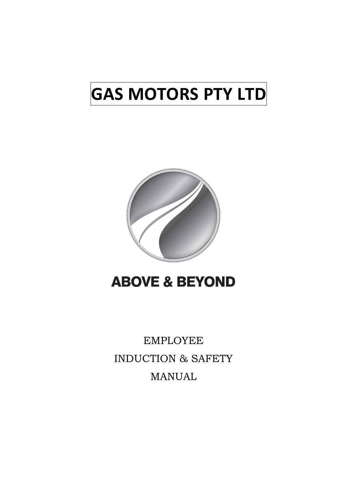# **GAS MOTORS PTY LTD**



## **ABOVE & BEYOND**

EMPLOYEE INDUCTION & SAFETY MANUAL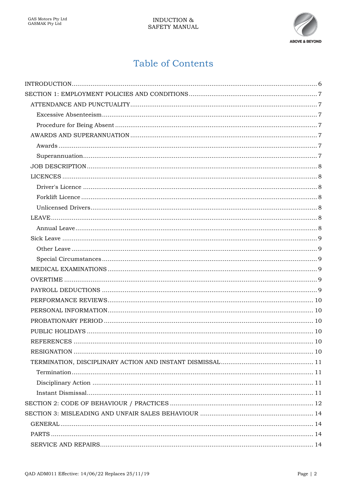

## **Table of Contents**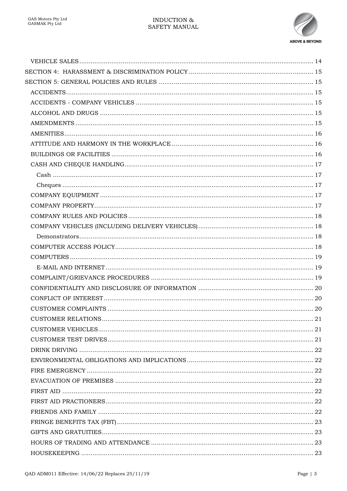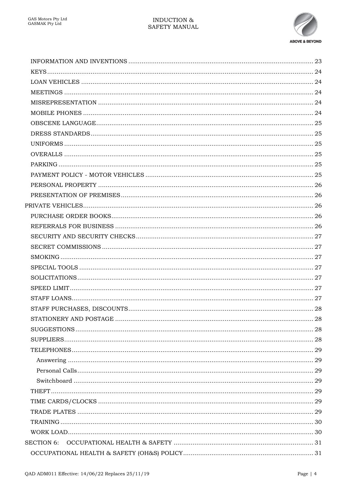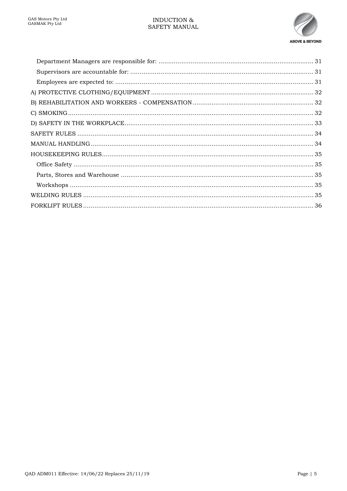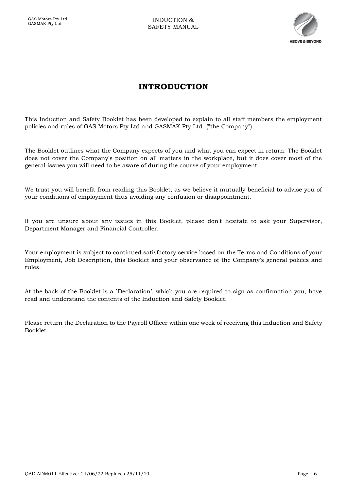

## **INTRODUCTION**

<span id="page-5-0"></span>This Induction and Safety Booklet has been developed to explain to all staff members the employment policies and rules of GAS Motors Pty Ltd and GASMAK Pty Ltd. ("the Company").

The Booklet outlines what the Company expects of you and what you can expect in return. The Booklet does not cover the Company's position on all matters in the workplace, but it does cover most of the general issues you will need to be aware of during the course of your employment.

We trust you will benefit from reading this Booklet, as we believe it mutually beneficial to advise you of your conditions of employment thus avoiding any confusion or disappointment.

If you are unsure about any issues in this Booklet, please don't hesitate to ask your Supervisor, Department Manager and Financial Controller.

Your employment is subject to continued satisfactory service based on the Terms and Conditions of your Employment, Job Description, this Booklet and your observance of the Company's general polices and rules.

At the back of the Booklet is a `Declaration', which you are required to sign as confirmation you, have read and understand the contents of the Induction and Safety Booklet.

Please return the Declaration to the Payroll Officer within one week of receiving this Induction and Safety Booklet.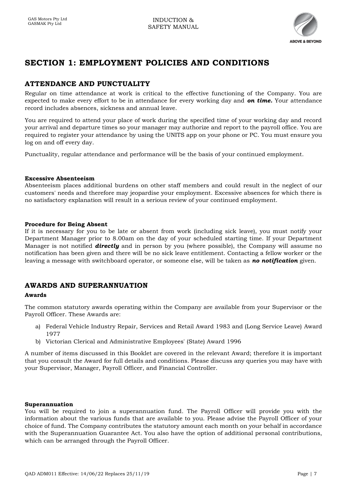

## <span id="page-6-0"></span>**SECTION 1: EMPLOYMENT POLICIES AND CONDITIONS**

## <span id="page-6-1"></span>**ATTENDANCE AND PUNCTUALITY**

Regular on time attendance at work is critical to the effective functioning of the Company. You are expected to make every effort to be in attendance for every working day and *on time.* Your attendance record includes absences, sickness and annual leave.

You are required to attend your place of work during the specified time of your working day and record your arrival and departure times so your manager may authorize and report to the payroll office. You are required to register your attendance by using the UNITS app on your phone or PC. You must ensure you log on and off every day.

Punctuality, regular attendance and performance will be the basis of your continued employment.

#### <span id="page-6-2"></span>**Excessive Absenteeism**

Absenteeism places additional burdens on other staff members and could result in the neglect of our customers' needs and therefore may jeopardise your employment. Excessive absences for which there is no satisfactory explanation will result in a serious review of your continued employment.

#### <span id="page-6-3"></span>**Procedure for Being Absent**

If it is necessary for you to be late or absent from work (including sick leave), you must notify your Department Manager prior to 8.00am on the day of your scheduled starting time. If your Department Manager is not notified *directly* and in person by you (where possible), the Company will assume no notification has been given and there will be no sick leave entitlement. Contacting a fellow worker or the leaving a message with switchboard operator, or someone else, will be taken as *no notification* given.

## <span id="page-6-4"></span>**AWARDS AND SUPERANNUATION**

#### <span id="page-6-5"></span>**Awards**

The common statutory awards operating within the Company are available from your Supervisor or the Payroll Officer. These Awards are:

- a) Federal Vehicle Industry Repair, Services and Retail Award 1983 and (Long Service Leave) Award 1977
- b) Victorian Clerical and Administrative Employees' (State) Award 1996

A number of items discussed in this Booklet are covered in the relevant Award; therefore it is important that you consult the Award for full details and conditions. Please discuss any queries you may have with your Supervisor, Manager, Payroll Officer, and Financial Controller.

#### <span id="page-6-6"></span>**Superannuation**

You will be required to join a superannuation fund. The Payroll Officer will provide you with the information about the various funds that are available to you. Please advise the Payroll Officer of your choice of fund. The Company contributes the statutory amount each month on your behalf in accordance with the Superannuation Guarantee Act. You also have the option of additional personal contributions, which can be arranged through the Payroll Officer.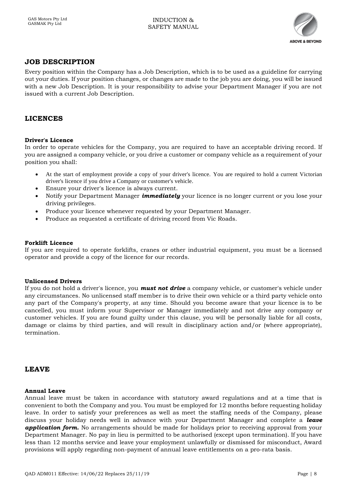

## <span id="page-7-0"></span>**JOB DESCRIPTION**

Every position within the Company has a Job Description, which is to be used as a guideline for carrying out your duties. If your position changes, or changes are made to the job you are doing, you will be issued with a new Job Description. It is your responsibility to advise your Department Manager if you are not issued with a current Job Description.

#### <span id="page-7-1"></span>**LICENCES**

#### <span id="page-7-2"></span>**Driver's Licence**

In order to operate vehicles for the Company, you are required to have an acceptable driving record. If you are assigned a company vehicle, or you drive a customer or company vehicle as a requirement of your position you shall:

- At the start of employment provide a copy of your driver's licence. You are required to hold a current Victorian driver's licence if you drive a Company or customer's vehicle.
- Ensure your driver's licence is always current.
- Notify your Department Manager *immediately* your licence is no longer current or you lose your driving privileges.
- Produce your licence whenever requested by your Department Manager.
- Produce as requested a certificate of driving record from Vic Roads.

#### <span id="page-7-3"></span>**Forklift Licence**

If you are required to operate forklifts, cranes or other industrial equipment, you must be a licensed operator and provide a copy of the licence for our records.

#### <span id="page-7-4"></span>**Unlicensed Drivers**

If you do not hold a driver's licence, you *must not drive* a company vehicle, or customer's vehicle under any circumstances. No unlicensed staff member is to drive their own vehicle or a third party vehicle onto any part of the Company's property, at any time. Should you become aware that your licence is to be cancelled, you must inform your Supervisor or Manager immediately and not drive any company or customer vehicles. If you are found guilty under this clause, you will be personally liable for all costs, damage or claims by third parties, and will result in disciplinary action and/or (where appropriate), termination.

#### <span id="page-7-5"></span>**LEAVE**

#### <span id="page-7-6"></span>**Annual Leave**

Annual leave must be taken in accordance with statutory award regulations and at a time that is convenient to both the Company and you. You must be employed for 12 months before requesting holiday leave. In order to satisfy your preferences as well as meet the staffing needs of the Company, please discuss your holiday needs well in advance with your Department Manager and complete a *leave*  **application form.** No arrangements should be made for holidays prior to receiving approval from your Department Manager. No pay in lieu is permitted to be authorised (except upon termination). If you have less than 12 months service and leave your employment unlawfully or dismissed for misconduct, Award provisions will apply regarding non-payment of annual leave entitlements on a pro-rata basis.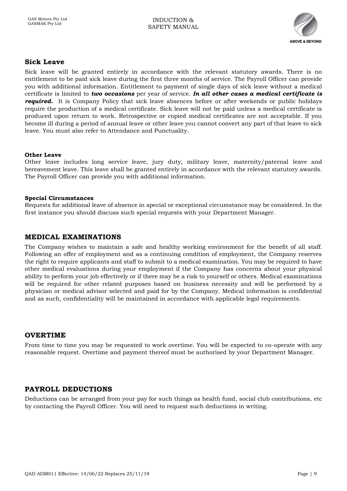

#### <span id="page-8-0"></span>**Sick Leave**

Sick leave will be granted entirely in accordance with the relevant statutory awards. There is no entitlement to be paid sick leave during the first three months of service. The Payroll Officer can provide you with additional information. Entitlement to payment of single days of sick leave without a medical certificate is limited to *two occasions* per year of service. *In all other cases a medical certificate is required.* It is Company Policy that sick leave absences before or after weekends or public holidays require the production of a medical certificate. Sick leave will not be paid unless a medical certificate is produced upon return to work. Retrospective or copied medical certificates are not acceptable. If you become ill during a period of annual leave or other leave you cannot convert any part of that leave to sick leave. You must also refer to Attendance and Punctuality.

#### <span id="page-8-1"></span>**Other Leave**

Other leave includes long service leave, jury duty, military leave, maternity/paternal leave and bereavement leave. This leave shall be granted entirely in accordance with the relevant statutory awards. The Payroll Officer can provide you with additional information.

#### <span id="page-8-2"></span>**Special Circumstances**

Requests for additional leave of absence in special or exceptional circumstance may be considered. In the first instance you should discuss such special requests with your Department Manager.

#### <span id="page-8-3"></span>**MEDICAL EXAMINATIONS**

The Company wishes to maintain a safe and healthy working environment for the benefit of all staff. Following an offer of employment and as a continuing condition of employment, the Company reserves the right to require applicants and staff to submit to a medical examination. You may be required to have other medical evaluations during your employment if the Company has concerns about your physical ability to perform your job effectively or if there may be a risk to yourself or others. Medical examinations will be required for other related purposes based on business necessity and will be performed by a physician or medical advisor selected and paid for by the Company. Medical information is confidential and as such, confidentiality will be maintained in accordance with applicable legal requirements.

#### <span id="page-8-4"></span>**OVERTIME**

From time to time you may be requested to work overtime. You will be expected to co-operate with any reasonable request. Overtime and payment thereof must be authorised by your Department Manager.

## <span id="page-8-5"></span>**PAYROLL DEDUCTIONS**

Deductions can be arranged from your pay for such things as health fund, social club contributions, etc by contacting the Payroll Officer. You will need to request such deductions in writing.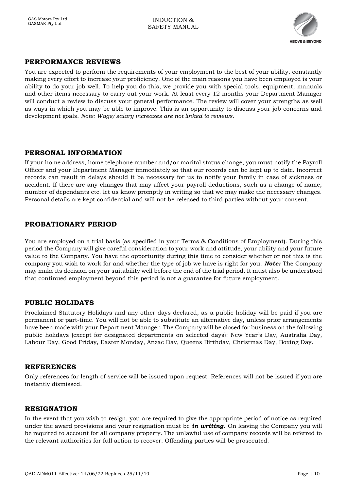

## <span id="page-9-0"></span>**PERFORMANCE REVIEWS**

You are expected to perform the requirements of your employment to the best of your ability, constantly making every effort to increase your proficiency. One of the main reasons you have been employed is your ability to do your job well. To help you do this, we provide you with special tools, equipment, manuals and other items necessary to carry out your work. At least every 12 months your Department Manager will conduct a review to discuss your general performance. The review will cover your strengths as well as ways in which you may be able to improve. This is an opportunity to discuss your job concerns and development goals. *Note: Wage/salary increases are not linked to reviews.*

#### <span id="page-9-1"></span>**PERSONAL INFORMATION**

If your home address, home telephone number and/or marital status change, you must notify the Payroll Officer and your Department Manager immediately so that our records can be kept up to date. Incorrect records can result in delays should it be necessary for us to notify your family in case of sickness or accident. If there are any changes that may affect your payroll deductions, such as a change of name, number of dependants etc. let us know promptly in writing so that we may make the necessary changes. Personal details are kept confidential and will not be released to third parties without your consent.

#### <span id="page-9-2"></span>**PROBATIONARY PERIOD**

You are employed on a trial basis (as specified in your Terms & Conditions of Employment). During this period the Company will give careful consideration to your work and attitude, your ability and your future value to the Company. You have the opportunity during this time to consider whether or not this is the company you wish to work for and whether the type of job we have is right for you. *Note:* The Company may make its decision on your suitability well before the end of the trial period. It must also be understood that continued employment beyond this period is not a guarantee for future employment.

#### <span id="page-9-3"></span>**PUBLIC HOLIDAYS**

Proclaimed Statutory Holidays and any other days declared, as a public holiday will be paid if you are permanent or part-time. You will not be able to substitute an alternative day, unless prior arrangements have been made with your Department Manager. The Company will be closed for business on the following public holidays (except for designated departments on selected days): New Year's Day, Australia Day, Labour Day, Good Friday, Easter Monday, Anzac Day, Queens Birthday, Christmas Day, Boxing Day.

#### <span id="page-9-4"></span>**REFERENCES**

Only references for length of service will be issued upon request. References will not be issued if you are instantly dismissed.

#### <span id="page-9-5"></span>**RESIGNATION**

In the event that you wish to resign, you are required to give the appropriate period of notice as required under the award provisions and your resignation must be *in writing.* On leaving the Company you will be required to account for all company property. The unlawful use of company records will be referred to the relevant authorities for full action to recover. Offending parties will be prosecuted.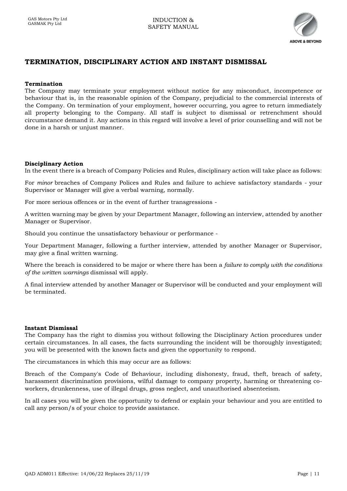

## <span id="page-10-0"></span>**TERMINATION, DISCIPLINARY ACTION AND INSTANT DISMISSAL**

#### <span id="page-10-1"></span>**Termination**

The Company may terminate your employment without notice for any misconduct, incompetence or behaviour that is, in the reasonable opinion of the Company, prejudicial to the commercial interests of the Company. On termination of your employment, however occurring, you agree to return immediately all property belonging to the Company. All staff is subject to dismissal or retrenchment should circumstance demand it. Any actions in this regard will involve a level of prior counselling and will not be done in a harsh or uniust manner.

#### <span id="page-10-2"></span>**Disciplinary Action**

In the event there is a breach of Company Policies and Rules, disciplinary action will take place as follows:

For *minor* breaches of Company Polices and Rules and failure to achieve satisfactory standards - your Supervisor or Manager will give a verbal warning, normally.

For more serious offences or in the event of further transgressions -

A written warning may be given by your Department Manager, following an interview, attended by another Manager or Supervisor.

Should you continue the unsatisfactory behaviour or performance -

Your Department Manager, following a further interview, attended by another Manager or Supervisor, may give a final written warning.

Where the breach is considered to be major or where there has been a *failure to comply with the conditions of the written warnings* dismissal will apply.

A final interview attended by another Manager or Supervisor will be conducted and your employment will be terminated.

#### <span id="page-10-3"></span>**Instant Dismissal**

The Company has the right to dismiss you without following the Disciplinary Action procedures under certain circumstances. In all cases, the facts surrounding the incident will be thoroughly investigated; you will be presented with the known facts and given the opportunity to respond.

The circumstances in which this may occur are as follows:

Breach of the Company's Code of Behaviour, including dishonesty, fraud, theft, breach of safety, harassment discrimination provisions, wilful damage to company property, harming or threatening coworkers, drunkenness, use of illegal drugs, gross neglect, and unauthorised absenteeism.

In all cases you will be given the opportunity to defend or explain your behaviour and you are entitled to call any person/s of your choice to provide assistance.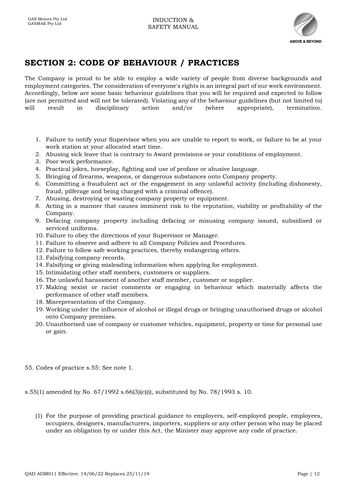

## <span id="page-11-0"></span>**SECTION 2: CODE OF BEHAVIOUR / PRACTICES**

The Company is proud to be able to employ a wide variety of people from diverse backgrounds and employment categories. The consideration of everyone's rights is an integral part of our work environment. Accordingly, below are some basic behaviour guidelines that you will be required and expected to follow (are not permitted and will not be tolerated). Violating any of the behaviour guidelines (but not limited to) will result in disciplinary action and/or (where appropriate), termination,

- 1. Failure to notify your Supervisor when you are unable to report to work, or failure to be at your work station at your allocated start time.
- 2. Abusing sick leave that is contrary to Award provisions or your conditions of employment.
- 3. Poor work performance.
- 4. Practical jokes, horseplay, fighting and use of profane or abusive language.
- 5. Bringing of firearms, weapons, or dangerous substances onto Company property.
- 6. Committing a fraudulent act or the engagement in any unlawful activity (including dishonesty, fraud, pilferage and being charged with a criminal offence).
- 7. Abusing, destroying or wasting company property or equipment.
- 8. Acting in a manner that causes imminent risk to the reputation, viability or profitability of the Company.
- 9. Defacing company property including defacing or misusing company issued, subsidised or serviced uniforms.
- 10. Failure to obey the directions of your Supervisor or Manager.
- 11. Failure to observe and adhere to all Company Policies and Procedures.
- 12. Failure to follow safe working practices, thereby endangering others.
- 13. Falsifying company records.
- 14. Falsifying or giving misleading information when applying for employment.
- 15. Intimidating other staff members, customers or suppliers.
- 16. The unlawful harassment of another staff member, customer or supplier.
- 17. Making sexist or racist comments or engaging in behaviour which materially affects the performance of other staff members.
- 18. Misrepresentation of the Company.
- 19. Working under the influence of alcohol or illegal drugs or bringing unauthorised drugs or alcohol onto Company premises.
- 20. Unauthorised use of company or customer vehicles, equipment, property or time for personal use or gain.
- 55. Codes of practice s.55: See note 1.

s.55(1) amended by No. 67/1992 s.66(3)(c)(i), substituted by No. 78/1993 s. 10.

(1) For the purpose of providing practical guidance to employers, self-employed people, employees, occupiers, designers, manufacturers, importers, suppliers or any other person who may be placed under an obligation by or under this Act, the Minister may approve any code of practice.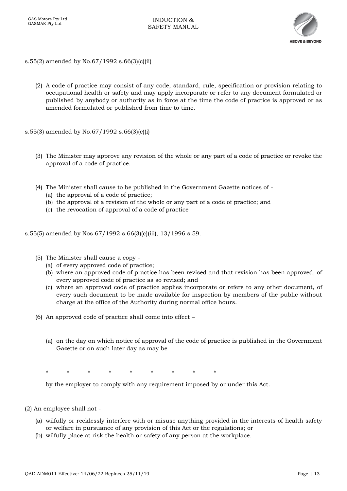

- s.55(2) amended by No.67/1992 s.66(3)(c)(ii)
	- (2) A code of practice may consist of any code, standard, rule, specification or provision relating to occupational health or safety and may apply incorporate or refer to any document formulated or published by anybody or authority as in force at the time the code of practice is approved or as amended formulated or published from time to time.
- s.55(3) amended by No.67/1992 s.66(3)(c)(i)
	- (3) The Minister may approve any revision of the whole or any part of a code of practice or revoke the approval of a code of practice.
	- (4) The Minister shall cause to be published in the Government Gazette notices of
		- (a) the approval of a code of practice;
		- (b) the approval of a revision of the whole or any part of a code of practice; and
		- (c) the revocation of approval of a code of practice
- s.55(5) amended by Nos 67/1992 s.66(3)(c)(iii), 13/1996 s.59.
	- (5) The Minister shall cause a copy
		- (a) of every approved code of practice;
		- (b) where an approved code of practice has been revised and that revision has been approved, of every approved code of practice as so revised; and
		- (c) where an approved code of practice applies incorporate or refers to any other document, of every such document to be made available for inspection by members of the public without charge at the office of the Authority during normal office hours.
	- (6) An approved code of practice shall come into effect
		- (a) on the day on which notice of approval of the code of practice is published in the Government Gazette or on such later day as may be

\* \* \* \* \* \* \* \* \*

by the employer to comply with any requirement imposed by or under this Act.

- (2) An employee shall not
	- (a) wilfully or recklessly interfere with or misuse anything provided in the interests of health safety or welfare in pursuance of any provision of this Act or the regulations; or
	- (b) wilfully place at risk the health or safety of any person at the workplace.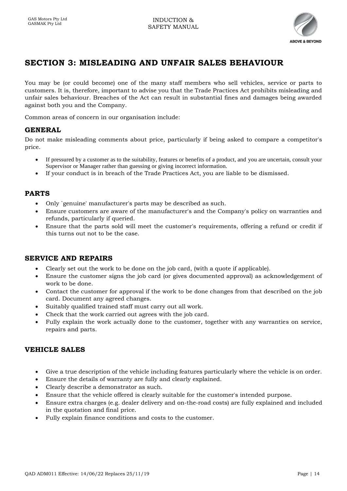

## <span id="page-13-0"></span>**SECTION 3: MISLEADING AND UNFAIR SALES BEHAVIOUR**

You may be (or could become) one of the many staff members who sell vehicles, service or parts to customers. It is, therefore, important to advise you that the Trade Practices Act prohibits misleading and unfair sales behaviour. Breaches of the Act can result in substantial fines and damages being awarded against both you and the Company.

Common areas of concern in our organisation include:

#### <span id="page-13-1"></span>**GENERAL**

Do not make misleading comments about price, particularly if being asked to compare a competitor's price.

- If pressured by a customer as to the suitability, features or benefits of a product, and you are uncertain, consult your Supervisor or Manager rather than guessing or giving incorrect information.
- If your conduct is in breach of the Trade Practices Act, you are liable to be dismissed.

#### <span id="page-13-2"></span>**PARTS**

- Only `genuine' manufacturer's parts may be described as such.
- Ensure customers are aware of the manufacturer's and the Company's policy on warranties and refunds, particularly if queried.
- Ensure that the parts sold will meet the customer's requirements, offering a refund or credit if this turns out not to be the case.

#### <span id="page-13-3"></span>**SERVICE AND REPAIRS**

- Clearly set out the work to be done on the job card, (with a quote if applicable).
- Ensure the customer signs the job card (or gives documented approval) as acknowledgement of work to be done.
- Contact the customer for approval if the work to be done changes from that described on the job card. Document any agreed changes.
- Suitably qualified trained staff must carry out all work.
- Check that the work carried out agrees with the job card.
- Fully explain the work actually done to the customer, together with any warranties on service, repairs and parts.

#### <span id="page-13-4"></span>**VEHICLE SALES**

- Give a true description of the vehicle including features particularly where the vehicle is on order.
- Ensure the details of warranty are fully and clearly explained.
- Clearly describe a demonstrator as such.
- Ensure that the vehicle offered is clearly suitable for the customer's intended purpose.
- Ensure extra charges (e.g. dealer delivery and on-the-road costs) are fully explained and included in the quotation and final price.
- Fully explain finance conditions and costs to the customer.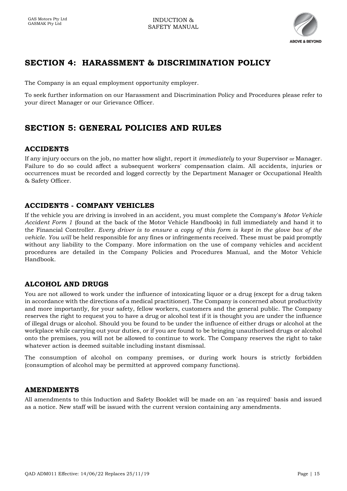

## <span id="page-14-0"></span>**SECTION 4: HARASSMENT & DISCRIMINATION POLICY**

The Company is an equal employment opportunity employer.

To seek further information on our Harassment and Discrimination Policy and Procedures please refer to your direct Manager or our Grievance Officer.

## <span id="page-14-1"></span>**SECTION 5: GENERAL POLICIES AND RULES**

## <span id="page-14-2"></span>**ACCIDENTS**

If any injury occurs on the job, no matter how slight, report it *immediately* to your Supervisor or Manager. Failure to do so could affect a subsequent workers' compensation claim. All accidents, injuries or occurrences must be recorded and logged correctly by the Department Manager or Occupational Health & Safety Officer.

## <span id="page-14-3"></span>**ACCIDENTS - COMPANY VEHICLES**

If the vehicle you are driving is involved in an accident, you must complete the Company's *Motor Vehicle Accident Form 1* (found at the back of the Motor Vehicle Handbook) in full immediately and hand it to the Financial Controller. *Every driver is to ensure a copy of this form is kept in the glove box of the vehicle. You will* be held responsible for any fines or infringements received. These must be paid promptly without any liability to the Company. More information on the use of company vehicles and accident procedures are detailed in the Company Policies and Procedures Manual, and the Motor Vehicle Handbook.

## <span id="page-14-4"></span>**ALCOHOL AND DRUGS**

You are not allowed to work under the influence of intoxicating liquor or a drug (except for a drug taken in accordance with the directions of a medical practitioner). The Company is concerned about productivity and more importantly, for your safety, fellow workers, customers and the general public. The Company reserves the right to request you to have a drug or alcohol test if it is thought you are under the influence of illegal drugs or alcohol. Should you be found to be under the influence of either drugs or alcohol at the workplace while carrying out your duties, or if you are found to be bringing unauthorised drugs or alcohol onto the premises, you will not be allowed to continue to work. The Company reserves the right to take whatever action is deemed suitable including instant dismissal.

The consumption of alcohol on company premises, or during work hours is strictly forbidden (consumption of alcohol may be permitted at approved company functions).

#### <span id="page-14-5"></span>**AMENDMENTS**

All amendments to this Induction and Safety Booklet will be made on an `as required' basis and issued as a notice. New staff will be issued with the current version containing any amendments.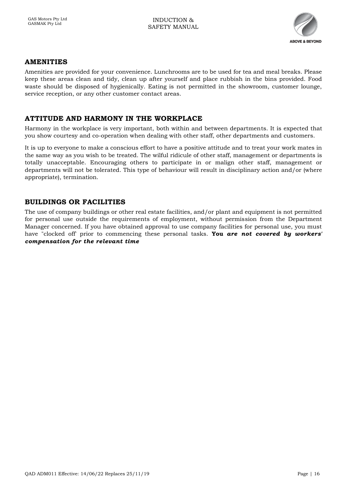

#### <span id="page-15-0"></span>**AMENITIES**

Amenities are provided for your convenience. Lunchrooms are to be used for tea and meal breaks. Please keep these areas clean and tidy, clean up after yourself and place rubbish in the bins provided. Food waste should be disposed of hygienically. Eating is not permitted in the showroom, customer lounge, service reception, or any other customer contact areas.

#### <span id="page-15-1"></span>**ATTITUDE AND HARMONY IN THE WORKPLACE**

Harmony in the workplace is very important, both within and between departments. It is expected that you show courtesy and co-operation when dealing with other staff, other departments and customers.

It is up to everyone to make a conscious effort to have a positive attitude and to treat your work mates in the same way as you wish to be treated. The wilful ridicule of other staff, management or departments is totally unacceptable. Encouraging others to participate in or malign other staff, management or departments will not be tolerated. This type of behaviour will result in disciplinary action and/or (where appropriate), termination.

#### <span id="page-15-2"></span>**BUILDINGS OR FACILITIES**

The use of company buildings or other real estate facilities, and/or plant and equipment is not permitted for personal use outside the requirements of employment, without permission from the Department Manager concerned. If you have obtained approval to use company facilities for personal use, you must have "clocked off' prior to commencing these personal tasks. **You** *are not covered by workers' compensation for the relevant time*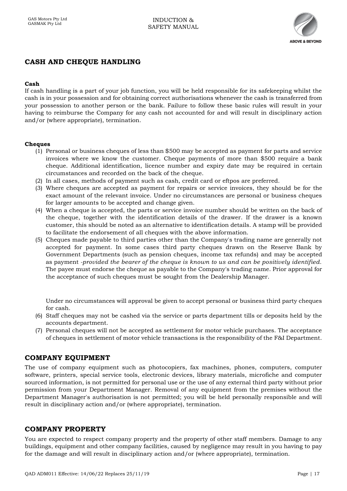

## <span id="page-16-0"></span>**CASH AND CHEQUE HANDLING**

#### <span id="page-16-1"></span>**Cash**

If cash handling is a part of your job function, you will be held responsible for its safekeeping whilst the cash is in your possession and for obtaining correct authorisations whenever the cash is transferred from your possession to another person or the bank. Failure to follow these basic rules will result in your having to reimburse the Company for any cash not accounted for and will result in disciplinary action and/or (where appropriate), termination.

#### <span id="page-16-2"></span>**Cheques**

- (1) Personal or business cheques of less than \$500 may be accepted as payment for parts and service invoices where we know the customer. Cheque payments of more than \$500 require a bank cheque. Additional identification, licence number and expiry date may be required in certain circumstances and recorded on the back of the cheque.
- (2) In all cases, methods of payment such as cash, credit card or eftpos are preferred.
- (3) Where cheques are accepted as payment for repairs or service invoices, they should be for the exact amount of the relevant invoice. Under no circumstances are personal or business cheques for larger amounts to be accepted and change given.
- (4) When a cheque is accepted, the parts or service invoice number should be written on the back of the cheque, together with the identification details of the drawer. If the drawer is a known customer, this should be noted as an alternative to identification details. A stamp will be provided to facilitate the endorsement of all cheques with the above information.
- (5) Cheques made payable to third parties other than the Company's trading name are generally not accepted for payment. In some cases third party cheques drawn on the Reserve Bank by Government Departments (such as pension cheques, income tax refunds) and may be accepted as payment *-provided the bearer of the cheque is known to us and can be positively identified.*  The payee must endorse the cheque as payable to the Company's trading name. Prior approval for the acceptance of such cheques must be sought from the Dealership Manager.

Under no circumstances will approval be given to accept personal or business third party cheques for cash.

- (6) Staff cheques may not be cashed via the service or parts department tills or deposits held by the accounts department.
- (7) Personal cheques will not be accepted as settlement for motor vehicle purchases. The acceptance of cheques in settlement of motor vehicle transactions is the responsibility of the F&I Department.

#### <span id="page-16-3"></span>**COMPANY EQUIPMENT**

The use of company equipment such as photocopiers, fax machines, phones, computers, computer software, printers, special service tools, electronic devices, library materials, microfiche and computer sourced information, is not permitted for personal use or the use of any external third party without prior permission from your Department Manager. Removal of any equipment from the premises without the Department Manager's authorisation is not permitted; you will be held personally responsible and will result in disciplinary action and/or (where appropriate), termination.

#### <span id="page-16-4"></span>**COMPANY PROPERTY**

You are expected to respect company property and the property of other staff members. Damage to any buildings, equipment and other company facilities, caused by negligence may result in you having to pay for the damage and will result in disciplinary action and/or (where appropriate), termination.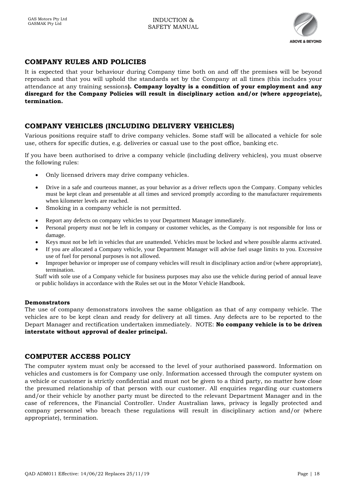

## <span id="page-17-0"></span>**COMPANY RULES AND POLICIES**

It is expected that your behaviour during Company time both on and off the premises will be beyond reproach and that you will uphold the standards set by the Company at all times (this includes your attendance at any training sessions**). Company loyalty is a condition of your employment and any disregard for the Company Policies will result in disciplinary action and/or (where appropriate), termination.**

## <span id="page-17-1"></span>**COMPANY VEHICLES (INCLUDING DELIVERY VEHICLES)**

Various positions require staff to drive company vehicles. Some staff will be allocated a vehicle for sole use, others for specific duties, e.g. deliveries or casual use to the post office, banking etc.

If you have been authorised to drive a company vehicle (including delivery vehicles), you must observe the following rules:

- Only licensed drivers may drive company vehicles.
- Drive in a safe and courteous manner, as your behavior as a driver reflects upon the Company. Company vehicles must be kept clean and presentable at all times and serviced promptly according to the manufacturer requirements when kilometer levels are reached.
- Smoking in a company vehicle is not permitted.
- Report any defects on company vehicles to your Department Manager immediately.
- Personal property must not be left in company or customer vehicles, as the Company is not responsible for loss or damage.
- Keys must not be left in vehicles that are unattended. Vehicles must be locked and where possible alarms activated.
- If you are allocated a Company vehicle, your Department Manager will advise fuel usage limits to you. Excessive use of fuel for personal purposes is not allowed.
- Improper behavior or improper use of company vehicles will result in disciplinary action and/or (where appropriate), termination.

Staff with sole use of a Company vehicle for business purposes may also use the vehicle during period of annual leave or public holidays in accordance with the Rules set out in the Motor Vehicle Handbook.

#### <span id="page-17-2"></span>**Demonstrators**

The use of company demonstrators involves the same obligation as that of any company vehicle. The vehicles are to be kept clean and ready for delivery at all times. Any defects are to be reported to the Depart Manager and rectification undertaken immediately. NOTE: **No company vehicle is to be driven interstate without approval of dealer principal.**

#### <span id="page-17-3"></span>**COMPUTER ACCESS POLICY**

The computer system must only be accessed to the level of your authorised password. Information on vehicles and customers is for Company use only. Information accessed through the computer system on a vehicle or customer is strictly confidential and must not be given to a third party, no matter how close the presumed relationship of that person with our customer. All enquiries regarding our customers and/or their vehicle by another party must be directed to the relevant Department Manager and in the case of references, the Financial Controller. Under Australian laws, privacy is legally protected and company personnel who breach these regulations will result in disciplinary action and/or (where appropriate), termination.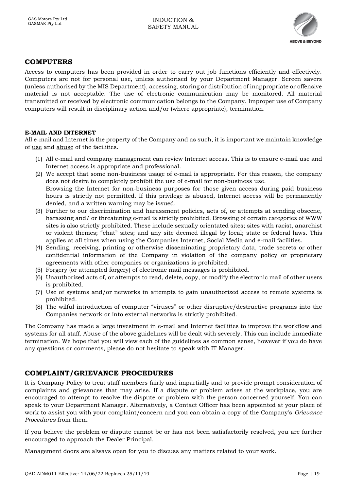

### <span id="page-18-0"></span>**COMPUTERS**

Access to computers has been provided in order to carry out job functions efficiently and effectively. Computers are not for personal use, unless authorised by your Department Manager. Screen savers (unless authorised by the MIS Department), accessing, storing or distribution of inappropriate or offensive material is not acceptable. The use of electronic communication may be monitored. All material transmitted or received by electronic communication belongs to the Company. Improper use of Company computers will result in disciplinary action and/or (where appropriate), termination.

#### <span id="page-18-1"></span>**E-MAIL AND INTERNET**

All e-mail and Internet is the property of the Company and as such, it is important we maintain knowledge of use and abuse of the facilities.

- (1) All e-mail and company management can review Internet access. This is to ensure e-mail use and Internet access is appropriate and professional.
- (2) We accept that some non-business usage of e-mail is appropriate. For this reason, the company does not desire to completely prohibit the use of e-mail for non-business use. Browsing the Internet for non-business purposes for those given access during paid business hours is strictly not permitted. If this privilege is abused, Internet access will be permanently denied, and a written warning may be issued.
- (3) Further to our discrimination and harassment policies, acts of, or attempts at sending obscene, harassing and/ or threatening e-mail is strictly prohibited. Browsing of certain categories of WWW sites is also strictly prohibited. These include sexually orientated sites; sites with racist, anarchist or violent themes; "chat" sites; and any site deemed illegal by local; state or federal laws. This applies at all times when using the Companies Internet, Social Media and e-mail facilities.
- (4) Sending, receiving, printing or otherwise disseminating proprietary data, trade secrets or other confidential information of the Company in violation of the company policy or proprietary agreements with other companies or organizations is prohibited.
- (5) Forgery (or attempted forgery) of electronic mail messages is prohibited.
- (6) Unauthorized acts of, or attempts to read, delete, copy, or modify the electronic mail of other users is prohibited.
- (7) Use of systems and/or networks in attempts to gain unauthorized access to remote systems is prohibited.
- (8) The wilful introduction of computer "viruses" or other disruptive/destructive programs into the Companies network or into external networks is strictly prohibited.

The Company has made a large investment in e-mail and Internet facilities to improve the workflow and systems for all staff. Abuse of the above guidelines will be dealt with severely. This can include immediate termination. We hope that you will view each of the guidelines as common sense, however if you do have any questions or comments, please do not hesitate to speak with IT Manager.

#### <span id="page-18-2"></span>**COMPLAINT/GRIEVANCE PROCEDURES**

It is Company Policy to treat staff members fairly and impartially and to provide prompt consideration of complaints and grievances that may arise. If a dispute or problem arises at the workplace, you are encouraged to attempt to resolve the dispute or problem with the person concerned yourself. You can speak to your Department Manager. Alternatively, a Contact Officer has been appointed at your place of work to assist you with your complaint/concern and you can obtain a copy of the Company's *Grievance Procedures* from them.

If you believe the problem or dispute cannot be or has not been satisfactorily resolved, you are further encouraged to approach the Dealer Principal.

Management doors are always open for you to discuss any matters related to your work.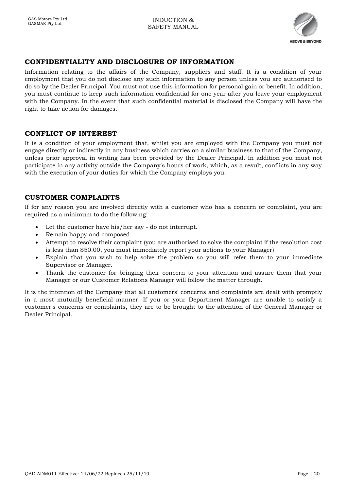

## <span id="page-19-0"></span>**CONFIDENTIALITY AND DISCLOSURE OF INFORMATION**

Information relating to the affairs of the Company, suppliers and staff. It is a condition of your employment that you do not disclose any such information to any person unless you are authorised to do so by the Dealer Principal. You must not use this information for personal gain or benefit. In addition, you must continue to keep such information confidential for one year after you leave your employment with the Company. In the event that such confidential material is disclosed the Company will have the right to take action for damages.

#### <span id="page-19-1"></span>**CONFLICT OF INTEREST**

It is a condition of your employment that, whilst you are employed with the Company you must not engage directly or indirectly in any business which carries on a similar business to that of the Company, unless prior approval in writing has been provided by the Dealer Principal. In addition you must not participate in any activity outside the Company's hours of work, which, as a result, conflicts in any way with the execution of your duties for which the Company employs you.

#### <span id="page-19-2"></span>**CUSTOMER COMPLAINTS**

If for any reason you are involved directly with a customer who has a concern or complaint, you are required as a minimum to do the following;

- Let the customer have his/her say do not interrupt.
- Remain happy and composed
- Attempt to resolve their complaint (you are authorised to solve the complaint if the resolution cost is less than \$50.00, you must immediately report your actions to your Manager)
- Explain that you wish to help solve the problem so you will refer them to your immediate Supervisor or Manager.
- Thank the customer for bringing their concern to your attention and assure them that your Manager or our Customer Relations Manager will follow the matter through.

It is the intention of the Company that all customers' concerns and complaints are dealt with promptly in a most mutually beneficial manner. If you or your Department Manager are unable to satisfy a customer's concerns or complaints, they are to be brought to the attention of the General Manager or Dealer Principal.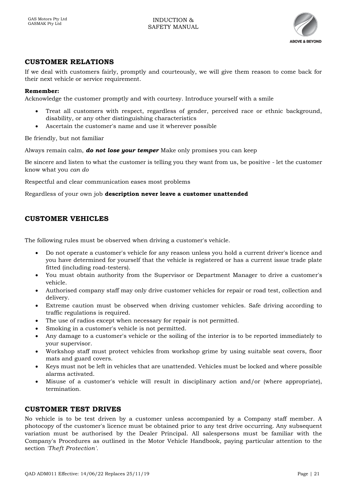

## <span id="page-20-0"></span>**CUSTOMER RELATIONS**

If we deal with customers fairly, promptly and courteously, we will give them reason to come back for their next vehicle or service requirement.

#### **Remember:**

Acknowledge the customer promptly and with courtesy. Introduce yourself with a smile

- Treat all customers with respect, regardless of gender, perceived race or ethnic background, disability, or any other distinguishing characteristics
- Ascertain the customer's name and use it wherever possible

Be friendly, but not familiar

Always remain calm, *do not lose your temper* Make only promises you can keep

Be sincere and listen to what the customer is telling you they want from us, be positive - let the customer know what you *can do*

Respectful and clear communication eases most problems

Regardless of your own job **description never leave a customer unattended**

#### <span id="page-20-1"></span>**CUSTOMER VEHICLES**

The following rules must be observed when driving a customer's vehicle.

- Do not operate a customer's vehicle for any reason unless you hold a current driver's licence and you have determined for yourself that the vehicle is registered or has a current issue trade plate fitted (including road-testers).
- You must obtain authority from the Supervisor or Department Manager to drive a customer's vehicle.
- Authorised company staff may only drive customer vehicles for repair or road test, collection and delivery.
- Extreme caution must be observed when driving customer vehicles. Safe driving according to traffic regulations is required.
- The use of radios except when necessary for repair is not permitted.
- Smoking in a customer's vehicle is not permitted.
- Any damage to a customer's vehicle or the soiling of the interior is to be reported immediately to your supervisor.
- Workshop staff must protect vehicles from workshop grime by using suitable seat covers, floor mats and guard covers.
- Keys must not be left in vehicles that are unattended. Vehicles must be locked and where possible alarms activated.
- Misuse of a customer's vehicle will result in disciplinary action and/or (where appropriate), termination.

#### <span id="page-20-2"></span>**CUSTOMER TEST DRIVES**

No vehicle is to be test driven by a customer unless accompanied by a Company staff member. A photocopy of the customer's licence must be obtained prior to any test drive occurring. Any subsequent variation must be authorised by the Dealer Principal. All salespersons must be familiar with the Company's Procedures as outlined in the Motor Vehicle Handbook, paying particular attention to the section *'Theft Protection'.*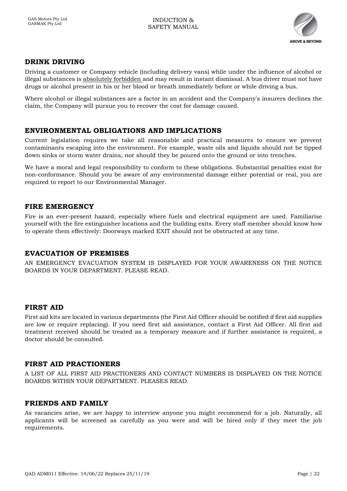

## <span id="page-21-0"></span>**DRINK DRIVING**

Driving a customer or Company vehicle (including delivery vans) while under the influence of alcohol or illegal substances is absolutely forbidden and may result in instant dismissal. A bus driver must not have drugs or alcohol present in his or her blood or breath immediately before or while driving a bus.

Where alcohol or illegal substances are a factor in an accident and the Company's insurers declines the claim, the Company will pursue you to recover the cost for damage caused.

#### <span id="page-21-1"></span>**ENVIRONMENTAL OBLIGATIONS AND IMPLICATIONS**

Current legislation requires we take all reasonable and practical measures to ensure we prevent contaminants escaping into the environment. For example, waste oils and liquids should not be tipped down sinks or storm water drains, nor should they be poured onto the ground or into trenches.

We have a moral and legal responsibility to conform to these obligations. Substantial penalties exist for non-conformance. Should you be aware of any environmental damage either potential or real, you are required to report to our Environmental Manager.

#### <span id="page-21-2"></span>**FIRE EMERGENCY**

Fire is an ever-present hazard, especially where fuels and electrical equipment are used. Familiarise yourself with the fire extinguisher locations and the building exits. Every staff member should know how to operate them effectively: Doorways marked EXIT should not be obstructed at any time.

#### <span id="page-21-3"></span>**EVACUATION OF PREMISES**

AN EMERGENCY EVACUATION SYSTEM IS DISPLAYED FOR YOUR AWARENESS ON THE NOTICE BOARDS IN YOUR DEPARTMENT. PLEASE READ.

### <span id="page-21-4"></span>**FIRST AID**

First aid kits are located in various departments (the First Aid Officer should be notified if first aid supplies are low or require replacing). If you need first aid assistance, contact a First Aid Officer. All first aid treatment received should be treated as a temporary measure and if further assistance is required, a doctor should be consulted.

#### <span id="page-21-5"></span>**FIRST AID PRACTIONERS**

A LIST OF ALL FIRST AID PRACTIONERS AND CONTACT NUMBERS IS DISPLAYED ON THE NOTICE BOARDS WITHIN YOUR DEPARTMENT. PLEASES READ.

#### <span id="page-21-6"></span>**FRIENDS AND FAMILY**

As vacancies arise, we are happy to interview anyone you might recommend for a job. Naturally, all applicants will be screened as carefully as you were and will be hired only if they meet the job requirements.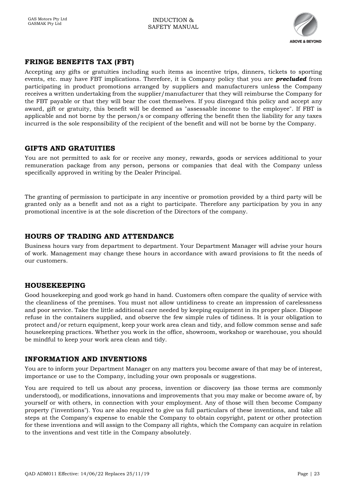

## <span id="page-22-0"></span>**FRINGE BENEFITS TAX (FBT)**

Accepting any gifts or gratuities including such items as incentive trips, dinners, tickets to sporting events, etc. may have FBT implications. Therefore, it is Company policy that you are *precluded* from participating in product promotions arranged by suppliers and manufacturers unless the Company receives a written undertaking from the supplier/manufacturer that they will reimburse the Company for the FBT payable or that they will bear the cost themselves. If you disregard this policy and accept any award, gift or gratuity, this benefit will be deemed as "assessable income to the employee". If FBT is applicable and not borne by the person/s or company offering the benefit then the liability for any taxes incurred is the sole responsibility of the recipient of the benefit and will not be borne by the Company.

#### <span id="page-22-1"></span>**GIFTS AND GRATUITIES**

You are not permitted to ask for or receive any money, rewards, goods or services additional to your remuneration package from any person, persons or companies that deal with the Company unless specifically approved in writing by the Dealer Principal.

The granting of permission to participate in any incentive or promotion provided by a third party will be granted only as a benefit and not as a right to participate. Therefore any participation by you in any promotional incentive is at the sole discretion of the Directors of the company.

## <span id="page-22-2"></span>**HOURS OF TRADING AND ATTENDANCE**

Business hours vary from department to department. Your Department Manager will advise your hours of work. Management may change these hours in accordance with award provisions to fit the needs of our customers.

## <span id="page-22-3"></span>**HOUSEKEEPING**

Good housekeeping and good work go hand in hand. Customers often compare the quality of service with the cleanliness of the premises. You must not allow untidiness to create an impression of carelessness and poor service. Take the little additional care needed by keeping equipment in its proper place. Dispose refuse in the containers supplied, and observe the few simple rules of tidiness. It is your obligation to protect and/or return equipment, keep your work area clean and tidy, and follow common sense and safe housekeeping practices. Whether you work in the office, showroom, workshop or warehouse, you should be mindful to keep your work area clean and tidy.

## <span id="page-22-4"></span>**INFORMATION AND INVENTIONS**

You are to inform your Department Manager on any matters you become aware of that may be of interest, importance or use to the Company, including your own proposals or suggestions.

You are required to tell us about any process, invention or discovery (as those terms are commonly understood), or modifications, innovations and improvements that you may make or become aware of, by yourself or with others, in connection with your employment. Any of those will then become Company property ("inventions"). You are also required to give us full particulars of these inventions, and take all steps at the Company's expense to enable the Company to obtain copyright, patent or other protection for these inventions and will assign to the Company all rights, which the Company can acquire in relation to the inventions and vest title in the Company absolutely.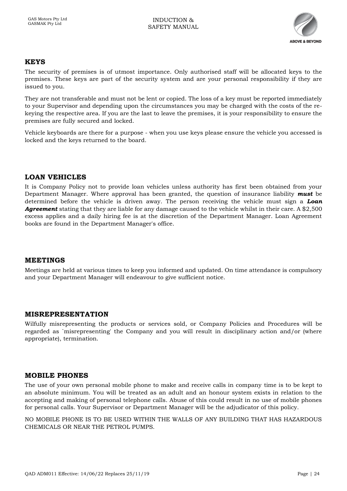

#### <span id="page-23-0"></span>**KEYS**

The security of premises is of utmost importance. Only authorised staff will be allocated keys to the premises. These keys are part of the security system and are your personal responsibility if they are issued to you.

They are not transferable and must not be lent or copied. The loss of a key must be reported immediately to your Supervisor and depending upon the circumstances you may be charged with the costs of the rekeying the respective area. If you are the last to leave the premises, it is your responsibility to ensure the premises are fully secured and locked.

Vehicle keyboards are there for a purpose - when you use keys please ensure the vehicle you accessed is locked and the keys returned to the board.

#### <span id="page-23-1"></span>**LOAN VEHICLES**

It is Company Policy not to provide loan vehicles unless authority has first been obtained from your Department Manager. Where approval has been granted, the question of insurance liability *must* be determined before the vehicle is driven away. The person receiving the vehicle must sign a *Loan Agreement* stating that they are liable for any damage caused to the vehicle whilst in their care. A \$2,500 excess applies and a daily hiring fee is at the discretion of the Department Manager. Loan Agreement books are found in the Department Manager's office.

#### <span id="page-23-2"></span>**MEETINGS**

Meetings are held at various times to keep you informed and updated. On time attendance is compulsory and your Department Manager will endeavour to give sufficient notice.

#### <span id="page-23-3"></span>**MISREPRESENTATION**

Wilfully misrepresenting the products or services sold, or Company Policies and Procedures will be regarded as `misrepresenting' the Company and you will result in disciplinary action and/or (where appropriate), termination.

#### <span id="page-23-4"></span>**MOBILE PHONES**

The use of your own personal mobile phone to make and receive calls in company time is to be kept to an absolute minimum. You will be treated as an adult and an honour system exists in relation to the accepting and making of personal telephone calls. Abuse of this could result in no use of mobile phones for personal calls. Your Supervisor or Department Manager will be the adjudicator of this policy.

NO MOBILE PHONE IS TO BE USED WITHIN THE WALLS OF ANY BUILDING THAT HAS HAZARDOUS CHEMICALS OR NEAR THE PETROL PUMPS.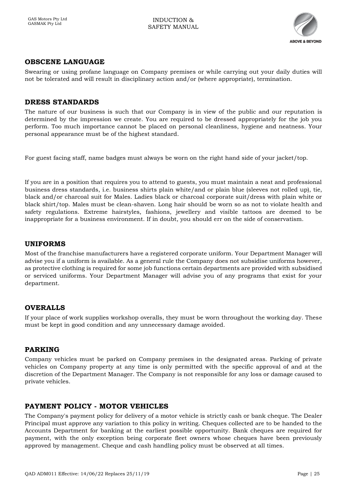

## <span id="page-24-0"></span>**OBSCENE LANGUAGE**

Swearing or using profane language on Company premises or while carrying out your daily duties will not be tolerated and will result in disciplinary action and/or (where appropriate), termination.

#### <span id="page-24-1"></span>**DRESS STANDARDS**

The nature of our business is such that our Company is in view of the public and our reputation is determined by the impression we create. You are required to be dressed appropriately for the job you perform. Too much importance cannot be placed on personal cleanliness, hygiene and neatness. Your personal appearance must be of the highest standard.

For guest facing staff, name badges must always be worn on the right hand side of your jacket/top.

If you are in a position that requires you to attend to guests, you must maintain a neat and professional business dress standards, i.e. business shirts plain white/and or plain blue (sleeves not rolled up), tie, black and/or charcoal suit for Males. Ladies black or charcoal corporate suit/dress with plain white or black shirt/top. Males must be clean-shaven. Long hair should be worn so as not to violate health and safety regulations. Extreme hairstyles, fashions, jewellery and visible tattoos are deemed to be inappropriate for a business environment. If in doubt, you should err on the side of conservatism.

#### <span id="page-24-2"></span>**UNIFORMS**

Most of the franchise manufacturers have a registered corporate uniform. Your Department Manager will advise you if a uniform is available. As a general rule the Company does not subsidise uniforms however, as protective clothing is required for some job functions certain departments are provided with subsidised or serviced uniforms. Your Department Manager will advise you of any programs that exist for your department.

#### <span id="page-24-3"></span>**OVERALLS**

If your place of work supplies workshop overalls, they must be worn throughout the working day. These must be kept in good condition and any unnecessary damage avoided.

#### <span id="page-24-4"></span>**PARKING**

Company vehicles must be parked on Company premises in the designated areas. Parking of private vehicles on Company property at any time is only permitted with the specific approval of and at the discretion of the Department Manager. The Company is not responsible for any loss or damage caused to private vehicles.

#### <span id="page-24-5"></span>**PAYMENT POLICY - MOTOR VEHICLES**

The Company's payment policy for delivery of a motor vehicle is strictly cash or bank cheque. The Dealer Principal must approve any variation to this policy in writing. Cheques collected are to be handed to the Accounts Department for banking at the earliest possible opportunity. Bank cheques are required for payment, with the only exception being corporate fleet owners whose cheques have been previously approved by management. Cheque and cash handling policy must be observed at all times.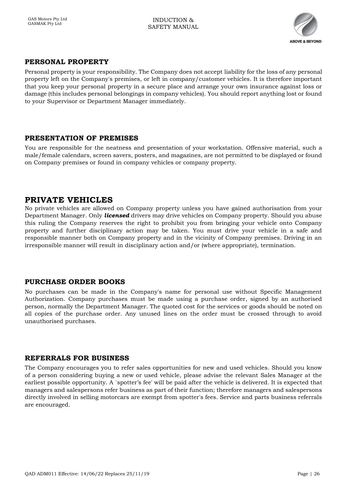

## <span id="page-25-0"></span>**PERSONAL PROPERTY**

Personal property is your responsibility. The Company does not accept liability for the loss of any personal property left on the Company's premises, or left in company/customer vehicles. It is therefore important that you keep your personal property in a secure place and arrange your own insurance against loss or damage (this includes personal belongings in company vehicles). You should report anything lost or found to your Supervisor or Department Manager immediately.

#### <span id="page-25-1"></span>**PRESENTATION OF PREMISES**

You are responsible for the neatness and presentation of your workstation. Offensive material, such a male/female calendars, screen savers, posters, and magazines, are not permitted to be displayed or found on Company premises or found in company vehicles or company property.

## <span id="page-25-2"></span>**PRIVATE VEHICLES**

No private vehicles are allowed on Company property unless you have gained authorisation from your Department Manager. Only *licensed* drivers may drive vehicles on Company property. Should you abuse this ruling the Company reserves the right to prohibit you from bringing your vehicle onto Company property and further disciplinary action may be taken. You must drive your vehicle in a safe and responsible manner both on Company property and in the vicinity of Company premises. Driving in an irresponsible manner will result in disciplinary action and/or (where appropriate), termination.

## <span id="page-25-3"></span>**PURCHASE ORDER BOOKS**

No purchases can be made in the Company's name for personal use without Specific Management Authorization. Company purchases must be made using a purchase order, signed by an authorised person, normally the Department Manager. The quoted cost for the services or goods should be noted on all copies of the purchase order. Any unused lines on the order must be crossed through to avoid unauthorised purchases.

## <span id="page-25-4"></span>**REFERRALS FOR BUSINESS**

The Company encourages you to refer sales opportunities for new and used vehicles. Should you know of a person considering buying a new or used vehicle, please advise the relevant Sales Manager at the earliest possible opportunity. A `spotter's fee' will be paid after the vehicle is delivered. It is expected that managers and salespersons refer business as part of their function; therefore managers and salespersons directly involved in selling motorcars are exempt from spotter's fees. Service and parts business referrals are encouraged.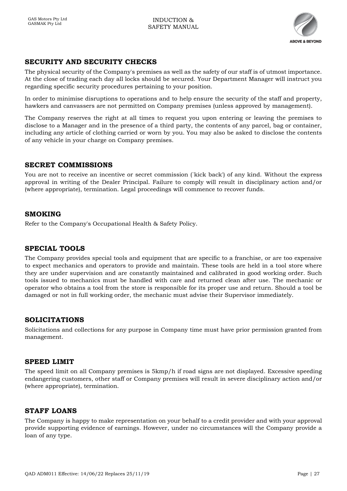

## <span id="page-26-0"></span>**SECURITY AND SECURITY CHECKS**

The physical security of the Company's premises as well as the safety of our staff is of utmost importance. At the close of trading each day all locks should be secured. Your Department Manager will instruct you regarding specific security procedures pertaining to your position.

In order to minimise disruptions to operations and to help ensure the security of the staff and property, hawkers and canvassers are not permitted on Company premises (unless approved by management).

The Company reserves the right at all times to request you upon entering or leaving the premises to disclose to a Manager and in the presence of a third party, the contents of any parcel, bag or container, including any article of clothing carried or worn by you. You may also be asked to disclose the contents of any vehicle in your charge on Company premises.

#### <span id="page-26-1"></span>**SECRET COMMISSIONS**

You are not to receive an incentive or secret commission (`kick back') of any kind. Without the express approval in writing of the Dealer Principal. Failure to comply will result in disciplinary action and/or (where appropriate), termination. Legal proceedings will commence to recover funds.

#### <span id="page-26-2"></span>**SMOKING**

Refer to the Company's Occupational Health & Safety Policy.

#### <span id="page-26-3"></span>**SPECIAL TOOLS**

The Company provides special tools and equipment that are specific to a franchise, or are too expensive to expect mechanics and operators to provide and maintain. These tools are held in a tool store where they are under supervision and are constantly maintained and calibrated in good working order. Such tools issued to mechanics must be handled with care and returned clean after use. The mechanic or operator who obtains a tool from the store is responsible for its proper use and return. Should a tool be damaged or not in full working order, the mechanic must advise their Supervisor immediately.

#### <span id="page-26-4"></span>**SOLICITATIONS**

Solicitations and collections for any purpose in Company time must have prior permission granted from management.

#### <span id="page-26-5"></span>**SPEED LIMIT**

The speed limit on all Company premises is 5kmp/h if road signs are not displayed. Excessive speeding endangering customers, other staff or Company premises will result in severe disciplinary action and/or (where appropriate), termination.

#### <span id="page-26-6"></span>**STAFF LOANS**

The Company is happy to make representation on your behalf to a credit provider and with your approval provide supporting evidence of earnings. However, under no circumstances will the Company provide a loan of any type.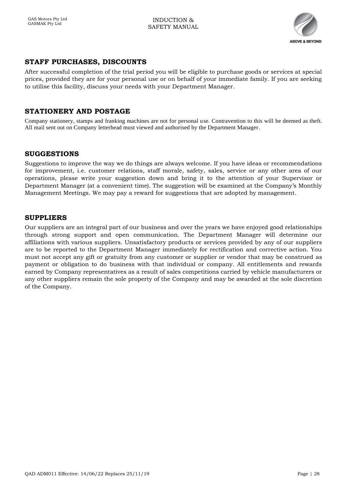

## <span id="page-27-0"></span>**STAFF PURCHASES, DISCOUNTS**

After successful completion of the trial period you will be eligible to purchase goods or services at special prices, provided they are for your personal use or on behalf of your immediate family. If you are seeking to utilise this facility, discuss your needs with your Department Manager.

## <span id="page-27-1"></span>**STATIONERY AND POSTAGE**

Company stationery, stamps and franking machines are not for personal use. Contravention to this will be deemed as theft. All mail sent out on Company letterhead must viewed and authorised by the Department Manager.

#### <span id="page-27-2"></span>**SUGGESTIONS**

Suggestions to improve the way we do things are always welcome. If you have ideas or recommendations for improvement, i.e. customer relations, staff morale, safety, sales, service or any other area of our operations, please write your suggestion down and bring it to the attention of your Supervisor or Department Manager (at a convenient time). The suggestion will be examined at the Company's Monthly Management Meetings. We may pay a reward for suggestions that are adopted by management.

#### <span id="page-27-3"></span>**SUPPLIERS**

Our suppliers are an integral part of our business and over the years we have enjoyed good relationships through strong support and open communication. The Department Manager will determine our affiliations with various suppliers. Unsatisfactory products or services provided by any of our suppliers are to be reported to the Department Manager immediately for rectification and corrective action. You must not accept any gift or gratuity from any customer or supplier or vendor that may be construed as payment or obligation to do business with that individual or company. All entitlements and rewards earned by Company representatives as a result of sales competitions carried by vehicle manufacturers or any other suppliers remain the sole property of the Company and may be awarded at the sole discretion of the Company.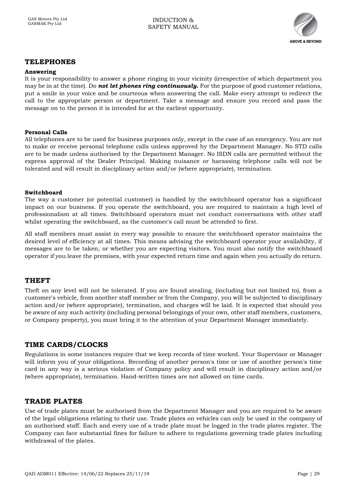

#### <span id="page-28-0"></span>**TELEPHONES**

#### <span id="page-28-1"></span>**Answering**

It is your responsibility to answer a phone ringing in your vicinity (irrespective of which department you may be in at the time). Do *not let phones ring continuously.* For the purpose of good customer relations, put a smile in your voice and be courteous when answering the call. Make every attempt to redirect the call to the appropriate person or department. Take a message and ensure you record and pass the message on to the person it is intended for at the earliest opportunity.

#### <span id="page-28-2"></span>**Personal Calls**

All telephones are to be used for business purposes only, except in the case of an emergency. You are not to make or receive personal telephone calls unless approved by the Department Manager. No STD calls are to be made unless authorised by the Department Manager. No ISDN calls are permitted without the express approval of the Dealer Principal. Making nuisance or harassing telephone calls will not be tolerated and will result in disciplinary action and/or (where appropriate), termination.

#### <span id="page-28-3"></span>**Switchboard**

The way a customer (or potential customer) is handled by the switchboard operator has a significant impact on our business. If you operate the switchboard, you are required to maintain a high level of professionalism at all times. Switchboard operators must not conduct conversations with other staff whilst operating the switchboard, as the customer's call must be attended to first.

All staff members must assist in every way possible to ensure the switchboard operator maintains the desired level of efficiency at all times. This means advising the switchboard operator your availability, if messages are to be taken, or whether you are expecting visitors. You must also notify the switchboard operator if you leave the premises, with your expected return time and again when you actually do return.

#### <span id="page-28-4"></span>**THEFT**

Theft on any level will not be tolerated. If you are found stealing, (including but not limited to), from a customer's vehicle, from another staff member or from the Company, you will be subjected to disciplinary action and/or (where appropriate), termination, and charges will be laid. It is expected that should you be aware of any such activity (including personal belongings of your own, other staff members, customers, or Company property), you must bring it to the attention of your Department Manager immediately.

#### <span id="page-28-5"></span>**TIME CARDS/CLOCKS**

Regulations in some instances require that we keep records of time worked. Your Supervisor or Manager will inform you of your obligations. Recording of another person's time or use of another person's time card in any way is a serious violation of Company policy and will result in disciplinary action and/or (where appropriate), termination. Hand-written times are not allowed on time cards.

#### <span id="page-28-6"></span>**TRADE PLATES**

Use of trade plates must be authorised from the Department Manager and you are required to be aware of the legal obligations relating to their use. Trade plates on vehicles can only be used in the company of an authorised staff. Each and every use of a trade plate must be logged in the trade plates register. The Company can face substantial fines for failure to adhere to regulations governing trade plates including withdrawal of the plates.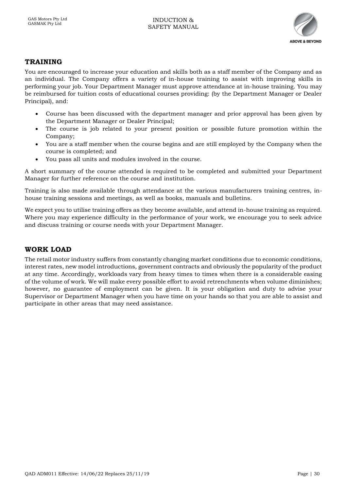

## <span id="page-29-0"></span>**TRAINING**

You are encouraged to increase your education and skills both as a staff member of the Company and as an individual. The Company offers a variety of in-house training to assist with improving skills in performing your job. Your Department Manager must approve attendance at in-house training. You may be reimbursed for tuition costs of educational courses providing: (by the Department Manager or Dealer Principal), and:

- Course has been discussed with the department manager and prior approval has been given by the Department Manager or Dealer Principal;
- The course is job related to your present position or possible future promotion within the Company;
- You are a staff member when the course begins and are still employed by the Company when the course is completed; and
- You pass all units and modules involved in the course.

A short summary of the course attended is required to be completed and submitted your Department Manager for further reference on the course and institution.

Training is also made available through attendance at the various manufacturers training centres, inhouse training sessions and meetings, as well as books, manuals and bulletins.

We expect you to utilise training offers as they become available, and attend in-house training as required. Where you may experience difficulty in the performance of your work, we encourage you to seek advice and discuss training or course needs with your Department Manager.

## <span id="page-29-1"></span>**WORK LOAD**

The retail motor industry suffers from constantly changing market conditions due to economic conditions, interest rates, new model introductions, government contracts and obviously the popularity of the product at any time. Accordingly, workloads vary from heavy times to times when there is a considerable easing of the volume of work. We will make every possible effort to avoid retrenchments when volume diminishes; however, no guarantee of employment can be given. It is your obligation and duty to advise your Supervisor or Department Manager when you have time on your hands so that you are able to assist and participate in other areas that may need assistance.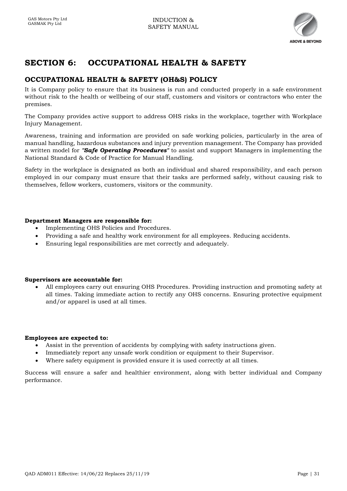

## <span id="page-30-0"></span>**SECTION 6: OCCUPATIONAL HEALTH & SAFETY**

## <span id="page-30-1"></span>**OCCUPATIONAL HEALTH & SAFETY (OH&S) POLICY**

It is Company policy to ensure that its business is run and conducted properly in a safe environment without risk to the health or wellbeing of our staff, customers and visitors or contractors who enter the premises.

The Company provides active support to address OHS risks in the workplace, together with Workplace Injury Management.

Awareness, training and information are provided on safe working policies, particularly in the area of manual handling, hazardous substances and injury prevention management. The Company has provided a written model for *"Safe Operating Procedures"* to assist and support Managers in implementing the National Standard & Code of Practice for Manual Handling.

Safety in the workplace is designated as both an individual and shared responsibility, and each person employed in our company must ensure that their tasks are performed safely, without causing risk to themselves, fellow workers, customers, visitors or the community.

#### <span id="page-30-2"></span>**Department Managers are responsible for:**

- Implementing OHS Policies and Procedures.
- Providing a safe and healthy work environment for all employees. Reducing accidents.
- Ensuring legal responsibilities are met correctly and adequately.

#### <span id="page-30-3"></span>**Supervisors are accountable for:**

• All employees carry out ensuring OHS Procedures. Providing instruction and promoting safety at all times. Taking immediate action to rectify any OHS concerns. Ensuring protective equipment and/or apparel is used at all times.

#### <span id="page-30-4"></span>**Employees are expected to:**

- Assist in the prevention of accidents by complying with safety instructions given.
- Immediately report any unsafe work condition or equipment to their Supervisor.
- Where safety equipment is provided ensure it is used correctly at all times.

Success will ensure a safer and healthier environment, along with better individual and Company performance.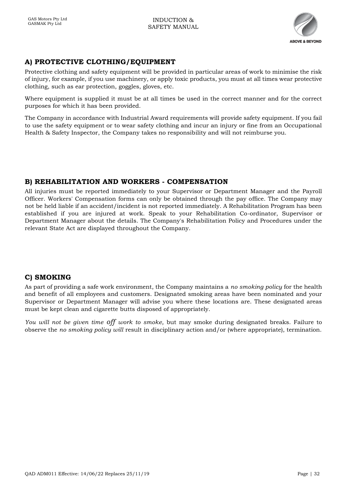

## <span id="page-31-0"></span>**A) PROTECTIVE CLOTHING/EQUIPMENT**

Protective clothing and safety equipment will be provided in particular areas of work to minimise the risk of injury, for example, if you use machinery, or apply toxic products, you must at all times wear protective clothing, such as ear protection, goggles, gloves, etc.

Where equipment is supplied it must be at all times be used in the correct manner and for the correct purposes for which it has been provided.

The Company in accordance with Industrial Award requirements will provide safety equipment. If you fail to use the safety equipment or to wear safety clothing and incur an injury or fine from an Occupational Health & Safety Inspector, the Company takes no responsibility and will not reimburse you.

## <span id="page-31-1"></span>**B) REHABILITATION AND WORKERS - COMPENSATION**

All injuries must be reported immediately to your Supervisor or Department Manager and the Payroll Officer. Workers' Compensation forms can only be obtained through the pay office. The Company may not be held liable if an accident/incident is not reported immediately. A Rehabilitation Program has been established if you are injured at work. Speak to your Rehabilitation Co-ordinator, Supervisor or Department Manager about the details. The Company's Rehabilitation Policy and Procedures under the relevant State Act are displayed throughout the Company.

## <span id="page-31-2"></span>**C) SMOKING**

As part of providing a safe work environment, the Company maintains a *no smoking policy* for the health and benefit of all employees and customers. Designated smoking areas have been nominated and your Supervisor or Department Manager will advise you where these locations are. These designated areas must be kept clean and cigarette butts disposed of appropriately.

*You will not be given time off work to smoke,* but may smoke during designated breaks. Failure to observe the *no smoking policy will* result in disciplinary action and/or (where appropriate), termination.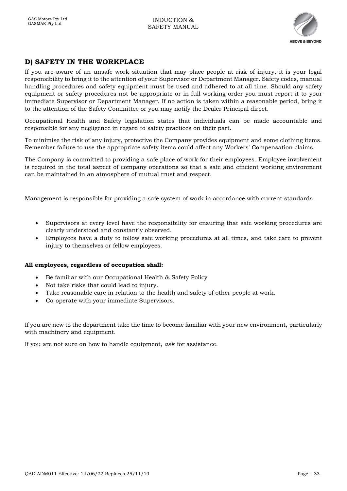

## <span id="page-32-0"></span>**D) SAFETY IN THE WORKPLACE**

If you are aware of an unsafe work situation that may place people at risk of injury, it is your legal responsibility to bring it to the attention of your Supervisor or Department Manager. Safety codes, manual handling procedures and safety equipment must be used and adhered to at all time. Should any safety equipment or safety procedures not be appropriate or in full working order you must report it to your immediate Supervisor or Department Manager. If no action is taken within a reasonable period, bring it to the attention of the Safety Committee or you may notify the Dealer Principal direct.

Occupational Health and Safety legislation states that individuals can be made accountable and responsible for any negligence in regard to safety practices on their part.

To minimise the risk of any injury, protective the Company provides equipment and some clothing items. Remember failure to use the appropriate safety items could affect any Workers' Compensation claims.

The Company is committed to providing a safe place of work for their employees. Employee involvement is required in the total aspect of company operations so that a safe and efficient working environment can be maintained in an atmosphere of mutual trust and respect.

Management is responsible for providing a safe system of work in accordance with current standards.

- Supervisors at every level have the responsibility for ensuring that safe working procedures are clearly understood and constantly observed.
- Employees have a duty to follow safe working procedures at all times, and take care to prevent injury to themselves or fellow employees.

#### **All employees, regardless of occupation shall:**

- Be familiar with our Occupational Health & Safety Policy
- Not take risks that could lead to injury.
- Take reasonable care in relation to the health and safety of other people at work.
- Co-operate with your immediate Supervisors.

If you are new to the department take the time to become familiar with your new environment, particularly with machinery and equipment.

If you are not sure on how to handle equipment, *ask* for assistance.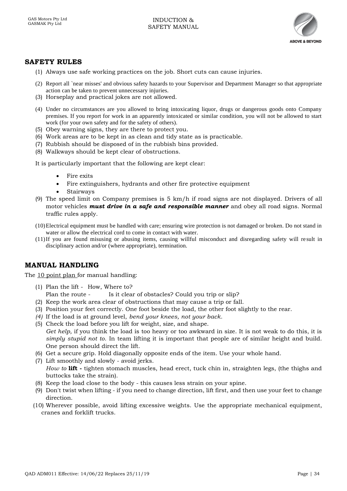

#### <span id="page-33-0"></span>**SAFETY RULES**

- (1) Always use safe working practices on the job. Short cuts can cause injuries.
- (2) Report all `near misses' and obvious safety hazards to your Supervisor and Department Manager so that appropriate action can be taken to prevent unnecessary injuries.
- (3) Horseplay and practical jokes are not allowed.
- (4) Under no circumstances are you allowed to bring intoxicating liquor, drugs or dangerous goods onto Company premises. If you report for work in an apparently intoxicated or similar condition, you will not be allowed to start work (for your own safety and for the safety of others).
- (5) Obey warning signs, they are there to protect you.
- (6) Work areas are to be kept in as clean and tidy state as is practicable.
- (7) Rubbish should be disposed of in the rubbish bins provided.
- (8) Walkways should be kept clear of obstructions.
- It is particularly important that the following are kept clear:
	- Fire exits
	- Fire extinguishers, hydrants and other fire protective equipment
	- **Stairways**
- (9) The speed limit on Company premises is 5 km/h if road signs are not displayed. Drivers of all motor vehicles *must drive in a safe and responsible manner* and obey all road signs. Normal traffic rules apply.
- (10)Electrical equipment must be handled with care; ensuring wire protection is not damaged or broken. Do not stand in water or allow the electrical cord to come in contact with water.
- (11)If you are found misusing or abusing items, causing willful misconduct and disregarding safety will re sult in disciplinary action and/or (where appropriate), termination.

#### <span id="page-33-1"></span>**MANUAL HANDLING**

The 10 point plan for manual handling:

- (1) Plan the lift How, Where to?
	- Plan the route Is it clear of obstacles? Could you trip or slip?
- (2) Keep the work area clear of obstructions that may cause a trip or fall.
- (3) Position your feet correctly. One foot beside the load, the other foot slightly to the rear.
- *(4)* If the load is at ground level, *bend your knees, not your back.*
- (5) Check the load before you lift for weight, size, and shape. *Get help*, if you think the load is too heavy or too awkward in size. It is not weak to do this, it is *simply stupid not to.* In team lifting it is important that people are of similar height and build. One person should direct the lift.
- (6) Get a secure grip. Hold diagonally opposite ends of the item. Use your whole hand.
- (7) Lift smoothly and slowly avoid jerks. *How to* **lift -** tighten stomach muscles, head erect, tuck chin in, straighten legs, (the thighs and buttocks take the strain).
- (8) Keep the load close to the body this causes less strain on your spine.
- (9) Don't twist when lifting if you need to change direction, lift first, and then use your feet to change direction.
- (10) Wherever possible, avoid lifting excessive weights. Use the appropriate mechanical equipment, cranes and forklift trucks.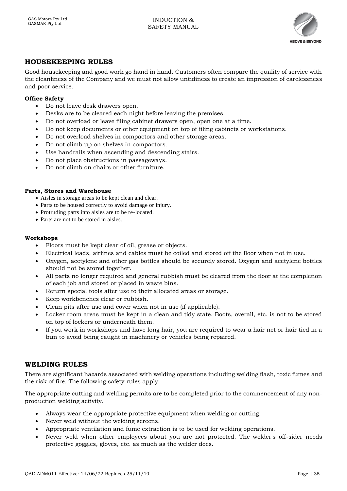

## <span id="page-34-0"></span>**HOUSEKEEPING RULES**

Good housekeeping and good work go hand in hand. Customers often compare the quality of service with the cleanliness of the Company and we must not allow untidiness to create an impression of carelessness and poor service.

#### <span id="page-34-1"></span>**Office Safety**

- Do not leave desk drawers open.
- Desks are to be cleared each night before leaving the premises.
- Do not overload or leave filing cabinet drawers open, open one at a time.
- Do not keep documents or other equipment on top of filing cabinets or workstations.
- Do not overload shelves in compactors and other storage areas.
- Do not climb up on shelves in compactors.
- Use handrails when ascending and descending stairs.
- Do not place obstructions in passageways.
- Do not climb on chairs or other furniture.

#### <span id="page-34-2"></span>**Parts, Stores and Warehouse**

- Aisles in storage areas to be kept clean and clear.
- Parts to be housed correctly to avoid damage or injury.
- Protruding parts into aisles are to be re-located.
- Parts are not to be stored in aisles.

#### <span id="page-34-3"></span>**Workshops**

- Floors must be kept clear of oil, grease or objects.
- Electrical leads, airlines and cables must be coiled and stored off the floor when not in use.
- Oxygen, acetylene and other gas bottles should be securely stored. Oxygen and acetylene bottles should not be stored together.
- All parts no longer required and general rubbish must be cleared from the floor at the completion of each job and stored or placed in waste bins.
- Return special tools after use to their allocated areas or storage.
- Keep workbenches clear or rubbish.
- Clean pits after use and cover when not in use (if applicable).
- Locker room areas must be kept in a clean and tidy state. Boots, overall, etc. is not to be stored on top of lockers or underneath them.
- If you work in workshops and have long hair, you are required to wear a hair net or hair tied in a bun to avoid being caught in machinery or vehicles being repaired.

## <span id="page-34-4"></span>**WELDING RULES**

There are significant hazards associated with welding operations including welding flash, toxic fumes and the risk of fire. The following safety rules apply:

The appropriate cutting and welding permits are to be completed prior to the commencement of any nonproduction welding activity.

- Always wear the appropriate protective equipment when welding or cutting.
- Never weld without the welding screens.
- Appropriate ventilation and fume extraction is to be used for welding operations.
- Never weld when other employees about you are not protected. The welder's off-sider needs protective goggles, gloves, etc. as much as the welder does.